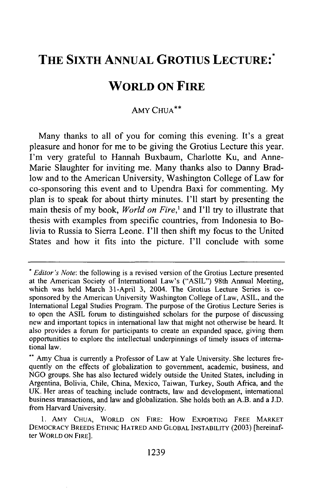## **THE SIXTH ANNUAL GROTIUS LECTURE:\***

## **WORLD ON FIRE**

## AMY CHUA\*\*

Many thanks to all of you for coming this evening. It's a great pleasure and honor for me to be giving the Grotius Lecture this year. I'm very grateful to Hannah Buxbaum, Charlotte Ku, and Anne-Marie Slaughter for inviting me. Many thanks also to Danny Bradlow and to the American University, Washington College of Law for co-sponsoring this event and to Upendra Baxi for commenting. **My** plan is to speak for about thirty minutes. **I'll** start **by** presenting the main thesis of my book, *World on Fire*,<sup>1</sup> and I'll try to illustrate that thesis with examples from specific countries, from Indonesia to Bolivia to Russia to Sierra Leone. I'll then shift my focus to the United States and how it fits into the picture. I'll conclude with some

*<sup>\*</sup> Editor's Note:* the following is a revised version of the Grotius Lecture presented at the American Society of International Law's ("ASIL") 98th Annual Meeting, which was held March 31-April 3, 2004. The Grotius Lecture Series is cosponsored by the American University Washington College of Law, ASIL, and the International Legal Studies Program. The purpose of the Grotius Lecture Series is to open the ASIL forum to distinguished scholars for the purpose of discussing new and important topics in international law that might not otherwise be heard. It also provides a forum for participants to create an expanded space, giving them opportunities to explore the intellectual underpinnings of timely issues of international law.

<sup>\*\*</sup> Amy Chua is currently a Professor of Law at Yale University. She lectures frequently on the effects of globalization to government, academic, business, and NGO groups. She has also lectured widely outside the United States, including in Argentina, Bolivia, Chile, China, Mexico, Taiwan, Turkey, South Africa, and the UK. Her areas of teaching include contracts, law and development, international business transactions, and law and globalization. She holds both an A.B. and a J.D. from Harvard University.

<sup>1.</sup> **AMY CHUA,** WORLD **ON** FIRE: How EXPORTING FREE MARKET DEMOCRACY BREEDS ETHNIC HATRED **AND** GLOBAL INSTABILITY (2003) [hereinafter WORLD **ON** FIRE].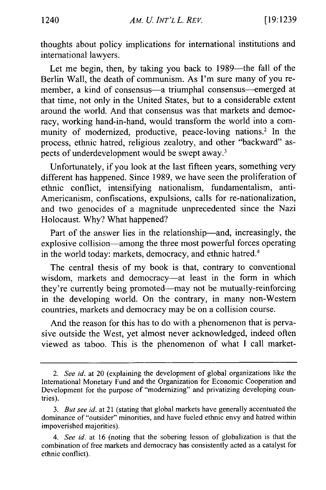thoughts about policy implications for international institutions and international lawyers.

Let me begin, then, by taking you back to 1989—the fall of the Berlin Wall, the death of communism. As I'm sure many of you remember, a kind of consensus-a triumphal consensus--emerged at that time, not only in the United States, but to a considerable extent around the world. And that consensus was that markets and democracy, working hand-in-hand, would transform the world into a community of modernized, productive, peace-loving nations.<sup>2</sup> In the process, ethnic hatred, religious zealotry, and other "backward" aspects of underdevelopment would be swept away.<sup>3</sup>

Unfortunately, if you look at the last fifteen years, something very different has happened. Since 1989, we have seen the proliferation of ethnic conflict, intensifying nationalism, fundamentalism, anti-Americanism, confiscations, expulsions, calls for re-nationalization, and two genocides of a magnitude unprecedented since the Nazi Holocaust. Why? What happened?

Part of the answer lies in the relationship—and, increasingly, the explosive collision-among the three most powerful forces operating in the world today: markets, democracy, and ethnic hatred.<sup>4</sup>

The central thesis of my book is that, contrary to conventional wisdom, markets and democracy-at least in the form in which they're currently being promoted-may not be mutually-reinforcing in the developing world. On the contrary, in many non-Western countries, markets and democracy may be on a collision course.

And the reason for this has to do with a phenomenon that is pervasive outside the West, yet almost never acknowledged, indeed often viewed as taboo. This is the phenomenon of what I call market-

*<sup>2.</sup> See id.* at 20 (explaining the development of global organizations like the International Monetary Fund and the Organization for Economic Cooperation and Development for the purpose of "modernizing" and privatizing developing countries).

*<sup>3.</sup> But see id.* at 21 (stating that global markets have generally accentuated the dominance of "outsider" minorities, and have fueled ethnic envy and hatred within impoverished majorities).

*<sup>4.</sup> See id.* at 16 (noting that the sobering lesson of globalization is that the combination of free markets and democracy has consistently acted as a catalyst for ethnic conflict).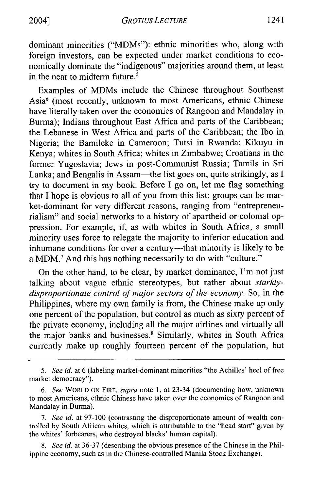dominant minorities ("MDMs"): ethnic minorities who, along with foreign investors, can be expected under market conditions to economically dominate the "indigenous" majorities around them, at least in the near to midterm future.<sup>5</sup>

Examples of MDMs include the Chinese throughout Southeast Asia6 (most recently, unknown to most Americans, ethnic Chinese have literally taken over the economies of Rangoon and Mandalay in Burma); Indians throughout East Africa and parts of the Caribbean; the Lebanese in West Africa and parts of the Caribbean; the Ibo in Nigeria; the Bamileke in Cameroon; Tutsi in Rwanda; Kikuyu in Kenya; whites in South Africa; whites in Zimbabwe; Croatians in the former Yugoslavia; Jews in post-Communist Russia; Tamils in Sri Lanka; and Bengalis in Assam—the list goes on, quite strikingly, as I try to document in my book. Before I go on, let me flag something that I hope is obvious to all of you from this list: groups can be market-dominant for very different reasons, ranging from "entrepreneurialism" and social networks to a history of apartheid or colonial oppression. For example, if, as with whites in South Africa, a small minority uses force to relegate the majority to inferior education and inhumane conditions for over a century---that minority is likely to be a MDM.<sup>7</sup> And this has nothing necessarily to do with "culture."

On the other hand, to be clear, by market dominance, I'm not just talking about vague ethnic stereotypes, but rather about *starklydisproportionate control of major sectors of the economy.* So, in the Philippines, where my own family is from, the Chinese make up only one percent of the population, but control as much as sixty percent of the private economy, including all the major airlines and virtually all the major banks and businesses.<sup>8</sup> Similarly, whites in South Africa currently make up roughly fourteen percent of the population, but

*8.* See *id.* at 36-37 (describing the obvious presence of the Chinese in the Philippine economy, such as in the Chinese-controlled Manila Stock Exchange).

*<sup>5.</sup>* See *id.* at 6 (labeling market-dominant minorities "the Achilles' heel of free market democracy").

<sup>6.</sup> See WORLD ON FIRE, supra note 1, at 23-34 (documenting how, unknown to most Americans, ethnic Chinese have taken over the economies of Rangoon and Mandalay in Burma).

*<sup>7.</sup>* See *id.* at 97-100 (contrasting the disproportionate amount of wealth controlled by South African whites, which is attributable to the "head start" given by the whites' forbearers, who destroyed blacks' human capital).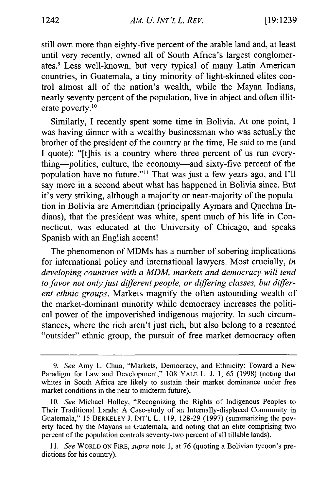still own more than eighty-five percent of the arable land and, at least until very recently, owned all of South Africa's largest conglomerates.9 Less well-known, but very typical of many Latin American countries, in Guatemala, a tiny minority of light-skinned elites control almost all of the nation's wealth, while the Mayan Indians, nearly seventy percent of the population, live in abject and often illiterate poverty.<sup>10</sup>

Similarly, I recently spent some time in Bolivia. At one point, I was having dinner with a wealthy businessman who was actually the brother of the president of the country at the time. He said to me (and I quote): "[t]his is a country where three percent of us run everything-politics, culture, the economy-and sixty-five percent of the population have no future."<sup>11</sup> That was just a few years ago, and I'll say more in a second about what has happened in Bolivia since. But it's very striking, although a majority or near-majority of the population in Bolivia are Amerindian (principally Aymara and Quechua Indians), that the president was white, spent much of his life in Connecticut, was educated at the University of Chicago, and speaks Spanish with an English accent!

The phenomenon of MDMs has a number of sobering implications for international policy and international lawyers. Most crucially, *in developing countries with a MDM, markets and democracy will tend to favor not only just different people, or differing classes, but different ethnic groups.* Markets magnify the often astounding wealth of the market-dominant minority while democracy increases the political power of the impoverished indigenous majority. In such circumstances, where the rich aren't just rich, but also belong to a resented "outsider" ethnic group, the pursuit of free market democracy often

*<sup>9.</sup> See* Amy L. Chua, "Markets, Democracy, and Ethnicity: Toward a New Paradigm for Law and Development," 108 YALE L. J. 1, 65 (1998) (noting that whites in South Africa are likely to sustain their market dominance under free market conditions in the near to midterm future).

<sup>10.</sup> *See* Michael Holley, "Recognizing the Rights of Indigenous Peoples to Their Traditional Lands: A Case-study of an Internally-displaced Community in Guatemala," 15 BERKELEY J. **INT'L** L. 119, 128-29 (1997) (summarizing the poverty faced by the Mayans in Guatemala, and noting that an elite comprising two percent of the population controls seventy-two percent of all tillable lands).

*<sup>11.</sup> See* WORLD **ON** FIRE, *supra* note 1, at 76 (quoting a Bolivian tycoon's predictions for his country).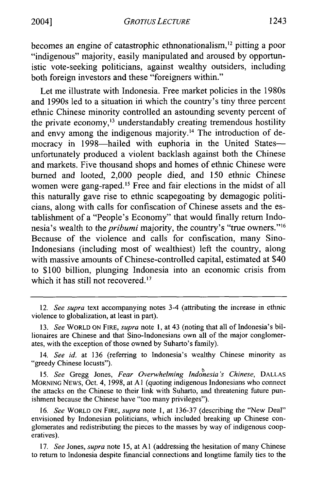becomes an engine of catastrophic ethnonationalism,<sup>12</sup> pitting a poor "indigenous" majority, easily manipulated and aroused by opportunistic vote-seeking politicians, against wealthy outsiders, including both foreign investors and these "foreigners within."

Let me illustrate with Indonesia. Free market policies in the 1980s and 1990s led to a situation in which the country's tiny three percent ethnic Chinese minority controlled an astounding seventy percent of the private economy,<sup>13</sup> understandably creating tremendous hostility and envy among the indigenous majority.<sup>14</sup> The introduction of democracy in 1998—hailed with euphoria in the United Statesunfortunately produced a violent backlash against both the Chinese and markets. Five thousand shops and homes of ethnic Chinese were burned and looted, 2,000 people died, and 150 ethnic Chinese women were gang-raped.<sup>15</sup> Free and fair elections in the midst of all this naturally gave rise to ethnic scapegoating by demagogic politicians, along with calls for confiscation of Chinese assets and the establishment of a "People's Economy" that would finally return Indonesia's wealth to the *pribumi* majority, the country's "true owners. **"16** Because of the violence and calls for confiscation, many Sino-Indonesians (including most of wealthiest) left the country, along with massive amounts of Chinese-controlled capital, estimated at \$40 to \$100 billion, plunging Indonesia into an economic crisis from which it has still not recovered. $17$ 

14. *See id.* at 136 (referring to Indonesia's wealthy Chinese minority as "greedy Chinese locusts").

*15. See* Gregg Jones, *Fear Overwhelming Indonesia's Chinese,* **DALLAS MORNING NEWS,** Oct. 4, 1998, at **Al** (quoting indigenous Indonesians who connect the attacks on the Chinese to their link with Suharto, and threatening future punishment because the Chinese have "too many privileges").

16. *See* WORLD **ON** FIRE, *supra* note 1, at 136-37 (describing the "New Deal" envisioned by Indonesian politicians, which included breaking up Chinese conglomerates and redistributing the pieces to the masses by way of indigenous cooperatives).

17. *See* Jones, *supra* note 15, at **Al** (addressing the hesitation of many Chinese to return to Indonesia despite financial connections and longtime family ties to the

<sup>12.</sup> *See supra* text accompanying notes 3-4 (attributing the increase in ethnic violence to globalization, at least in part).

*<sup>13.</sup> See* WORLD **ON** FIRE, *supra* note 1, at 43 (noting that all of Indonesia's billionaires are Chinese and that Sino-Indonesians own all of the major conglomerates, with the exception of those owned by Suharto's family).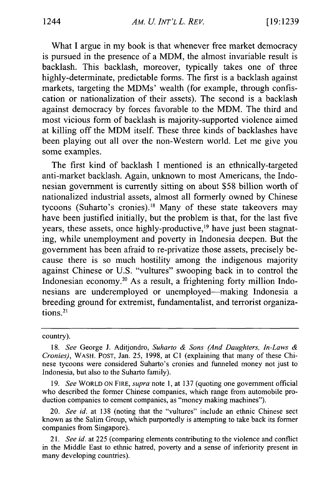What I argue in my book is that whenever free market democracy is pursued in the presence of a MDM, the almost invariable result is backlash. This backlash, moreover, typically takes one of three highly-determinate, predictable forms. The first is a backlash against markets, targeting the MDMs' wealth (for example, through confiscation or nationalization of their assets). The second is a backlash against democracy by forces favorable to the MDM. The third and most vicious form of backlash is majority-supported violence aimed at killing off the MDM itself. These three kinds of backlashes have been playing out all over the non-Western world. Let me give you some examples.

The first kind of backlash I mentioned is an ethnically-targeted anti-market backlash. Again, unknown to most Americans, the Indonesian government is currently sitting on about \$58 billion worth of nationalized industrial assets, almost all formerly owned by Chinese tycoons (Suharto's cronies).18 Many of these state takeovers may have been justified initially, but the problem is that, for the last five years, these assets, once highly-productive,<sup>19</sup> have just been stagnating, while unemployment and poverty in Indonesia deepen. But the government has been afraid to re-privatize those assets, precisely because there is so much hostility among the indigenous majority against Chinese or U.S. "vultures" swooping back in to control the Indonesian economy.20 As a result, a frightening forty million Indonesians are underemployed or unemployed-making Indonesia a breeding ground for extremist, fundamentalist, and terrorist organizations.2'

## country).

19. *See* WORLD ON FIRE, *supra* note 1, at 137 (quoting one government official who described the former Chinese companies, which range from automobile production companies to cement companies, as "money making machines").

<sup>18.</sup> *See* George J. Aditjondro, *Suharto & Sons (And Daughters, In-Laws & Cronies),* WASH. POST, Jan. 25, 1998, at **Cl** (explaining that many of these Chinese tycoons were considered Suharto's cronies and funneled money not just to Indonesia, but also to the Suharto family).

<sup>20.</sup> *See id.* at 138 (noting that the "vultures" include an ethnic Chinese sect known as the Salim Group, which purportedly is attempting to take back its former companies from Singapore).

*<sup>21.</sup> See id.* at 225 (comparing elements contributing to the violence and conflict in the Middle East to ethnic hatred, poverty and a sense of inferiority present in many developing countries).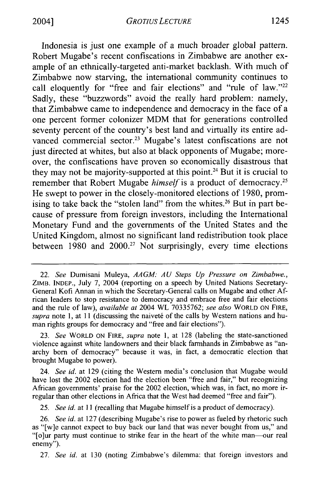Indonesia is just one example of a much broader global pattern. Robert Mugabe's recent confiscations in Zimbabwe are another example of an ethnically-targeted anti-market backlash. With much of Zimbabwe now starving, the international community continues to call eloquently for "free and fair elections" and "rule of law."<sup>22</sup> Sadly, these "buzzwords" avoid the really hard problem: namely, that Zimbabwe came to independence and democracy in the face of a one percent former colonizer MDM that for generations controlled seventy percent of the country's best land and virtually its entire advanced commercial sector.<sup>23</sup> Mugabe's latest confiscations are not just directed at whites, but also at black opponents of Mugabe; moreover, the confiscations have proven so economically disastrous that they may not be majority-supported at this point.<sup>24</sup> But it is crucial to remember that Robert Mugabe *himself* is a product of democracy. He swept to power in the closely-monitored elections of 1980, promising to take back the "stolen land" from the whites.<sup>26</sup> But in part because of pressure from foreign investors, including the International Monetary Fund and the governments of the United States and the United Kingdom, almost no significant land redistribution took place between  $1980$  and  $2000<sup>27</sup>$  Not surprisingly, every time elections

23. *See* WORLD ON FIRE, *supra* note **1,** at 128 (labeling the state-sanctioned violence against white landowners and their black farmhands in Zimbabwe as "anarchy born of democracy" because it was, in fact, a democratic election that brought Mugabe to power).

24. *See id.* at 129 (citing the Western media's conclusion that Mugabe would have lost the 2002 election had the election been "free and fair," but recognizing African governments' praise for the 2002 election, which was, in fact, no more irregular than other elections in Africa that the West had deemed "free and fair").

*25. See id.* at **II** (recalling that Mugabe himself is a product of democracy).

27. *See id.* at 130 (noting Zimbabwe's dilemma: that foreign investors and

<sup>22.</sup> *See* Dumisani Muleya, *AAGM: AU Steps Up Pressure on Zimbabwe.,* ZIMB. **INDEP.,** July 7, 2004 (reporting on a speech by United Nations Secretary-General Kofi Annan in which the Secretary-General calls on Mugabe and other African leaders to stop resistance to democracy and embrace free and fair elections and the rule of law), *available at* 2004 WL 70335762; *see also* WORLD ON **FIRE,** *supra* note 1, at 11 (discussing the naiveté of the calls by Western nations and human rights groups for democracy and "free and fair elections").

<sup>26.</sup> *See id.* at 127 (describing Mugabe's rise to power as fueled by rhetoric such as "[w]e cannot expect to buy back our land that was never bought from us," and "[o]ur party must continue to strike fear in the heart of the white man-our real enemy").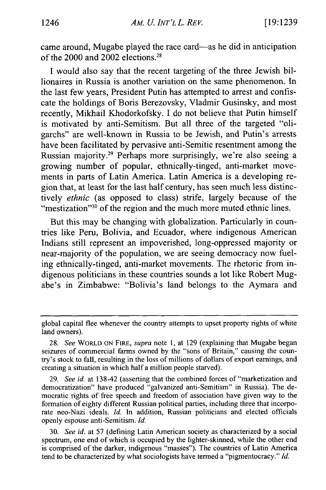came around, Mugabe played the race card—as he did in anticipation of the 2000 and 2002 elections.28

I would also say that the recent targeting of the three Jewish billionaires in Russia is another variation on the same phenomenon. In the last few years, President Putin has attempted to arrest and confiscate the holdings of Boris Berezovsky, Vladmir Gusinsky, and most recently, Mikhail Khodorkofsky. I do not believe that Putin himself is motivated by anti-Semitism. But all three of the targeted "oligarchs" are well-known in Russia to be Jewish, and Putin's arrests have been facilitated by pervasive anti-Semitic resentment among the Russian majority.<sup>29</sup> Perhaps more surprisingly, we're also seeing a growing number of popular, ethnically-tinged, anti-market movements in parts of Latin America. Latin America is a developing region that, at least for the last half century, has seen much less distinctively *ethnic* (as opposed to class) strife, largely because of the "mestization"<sup>30</sup> of the region and the much more muted ethnic lines.

But this may be changing with globalization. Particularly in countries like Peru, Bolivia, and Ecuador, where indigenous American Indians still represent an impoverished, long-oppressed majority or near-majority of the population, we are seeing democracy now fueling ethnically-tinged, anti-market movements. The rhetoric from indigenous politicians in these countries sounds a lot like Robert Mugabe's in Zimbabwe: "Bolivia's land belongs to the Aymara and

global capital flee whenever the country attempts to upset property rights of white land owners).

<sup>28.</sup> *See* WORLD ON FIRE, *supra* note 1, at 129 (explaining that Mugabe began seizures of commercial farms owned by the "sons of Britain," causing the country's stock to fall, resulting in the loss of millions of dollars of export earnings, and creating a situation in which half a million people starved).

<sup>29.</sup> *See id.* at 138-42 (asserting that the combined forces of "marketization and democratization" have produced "galvanized anti-Semitism" in Russia). The democratic rights of free speech and freedom of association have given way to the formation of eighty different Russian political parties, including three that incorporate neo-Nazi ideals. *Id.* In addition, Russian politicians and elected officials openly espouse anti-Semitism. *Id.*

<sup>30.</sup> *See id.* at 57 (defining Latin American society as characterized by a social spectrum, one end of which is occupied by the lighter-skinned, while the other end is comprised of the darker, indigenous "masses"). The countries of Latin America tend to be characterized by what sociologists have termed a "pigmentocracy." *Id.*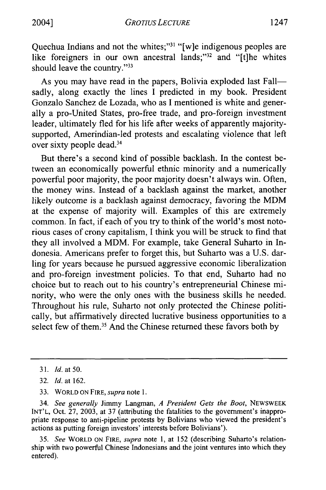Quechua Indians and not the whites;"<sup>31</sup> "[w]e indigenous peoples are like foreigners in our own ancestral lands;"<sup>32</sup> and "[t]he whites should leave the country."<sup>33</sup>

As you may have read in the papers, Bolivia exploded last Fallsadly, along exactly the lines I predicted in my book. President Gonzalo Sanchez de Lozada, who as I mentioned is white and generally a pro-United States, pro-free trade, and pro-foreign investment leader, ultimately fled for his life after weeks of apparently majoritysupported, Amerindian-led protests and escalating violence that left over sixty people dead.34

But there's a second kind of possible backlash. In the contest between an economically powerful ethnic minority and a numerically powerful poor majority, the poor majority doesn't always win. Often, the money wins. Instead of a backlash against the market, another likely outcome is a backlash against democracy, favoring the MDM at the expense of majority will. Examples of this are extremely common. In fact, if each of you try to think of the world's most notorious cases of crony capitalism, I think you will be struck to find that they all involved a MDM. For example, take General Suharto in Indonesia. Americans prefer to forget this, but Suharto was a U.S. darling for years because he pursued aggressive economic liberalization and pro-foreign investment policies. To that end, Suharto had no choice but to reach out to his country's entrepreneurial Chinese minority, who were the only ones with the business skills he needed. Throughout his rule, Suharto not only protected the Chinese politically, but affirmatively directed lucrative business opportunities to a select few of them.<sup>35</sup> And the Chinese returned these favors both by

34. *See generally* Jimmy Langman, *A President Gets the Boot,* NEWSWEEK **INT'L,** Oct. 27, 2003, at 37 (attributing the fatalities to the government's inappropriate response to anti-pipeline protests by Bolivians who viewed the president's actions as putting foreign investors' interests before Bolivians').

35. *See* WORLD ON FIRE, *supra* note 1, at 152 (describing Suharto's relationship with two powerful Chinese Indonesians and the joint ventures into which they entered).

<sup>31.</sup> *Id.* at **50.**

<sup>32.</sup> *Id.* at 162.

<sup>33.</sup> WORLD ON FIRE, *supra* note 1.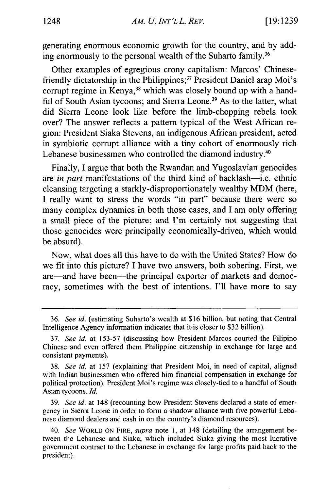generating enormous economic growth for the country, and by adding enormously to the personal wealth of the Suharto family.<sup>36</sup>

Other examples of egregious crony capitalism: Marcos' Chinesefriendly dictatorship in the Philippines; 37 President Daniel arap Moi's corrupt regime in Kenya,<sup>38</sup> which was closely bound up with a handful of South Asian tycoons; and Sierra Leone.<sup>39</sup> As to the latter, what did Sierra Leone look like before the limb-chopping rebels took over? The answer reflects a pattern typical of the West African region: President Siaka Stevens, an indigenous African president, acted in symbiotic corrupt alliance with a tiny cohort of enormously rich Lebanese businessmen who controlled the diamond industry.<sup>40</sup>

Finally, I argue that both the Rwandan and Yugoslavian genocides are *in part* manifestations of the third kind of backlash-i.e. ethnic cleansing targeting a starkly-disproportionately wealthy MDM (here, I really want to stress the words "in part" because there were so many complex dynamics in both those cases, and I am only offering a small piece of the picture; and I'm certainly not suggesting that those genocides were principally economically-driven, which would be absurd).

Now, what does all this have to do with the United States? How do we fit into this picture? I have two answers, both sobering. First, we are-and have been-the principal exporter of markets and democracy, sometimes with the best of intentions. I'll have more to say

39. *See id.* at 148 (recounting how President Stevens declared a state of emergency in Sierra Leone in order to form a shadow alliance with five powerful Lebanese diamond dealers and cash in on the country's diamond resources).

<sup>36.</sup> *See id.* (estimating Suharto's wealth at \$16 billion, but noting that Central Intelligence Agency information indicates that it is closer to \$32 billion).

<sup>37.</sup> *See id.* at 153-57 (discussing how President Marcos courted the Filipino Chinese and even offered them Philippine citizenship in exchange for large and consistent payments).

<sup>38.</sup> *See id.* at 157 (explaining that President Moi, in need of capital, aligned with Indian businessmen who offered him financial compensation in exchange for political protection). President Moi's regime was closely-tied to a handful of South Asian tycoons. *Id.*

<sup>40.</sup> *See* WORLD ON FIRE, *supra* note 1, at 148 (detailing the arrangement between the Lebanese and Siaka, which included Siaka giving the most lucrative government contract to the Lebanese in exchange for large profits paid back to the president).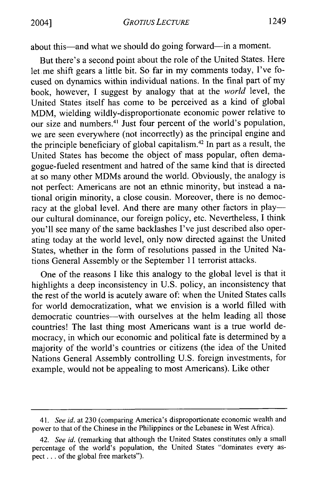about this—and what we should do going forward—in a moment.

But there's a second point about the role of the United States. Here let me shift gears a little bit. So far in my comments today, I've focused on dynamics within individual nations. In the final part of my book, however, I suggest by analogy that at the *world* level, the United States itself has come to be perceived as a kind of global MDM, wielding wildly-disproportionate economic power relative to our size and numbers.<sup>41</sup> Just four percent of the world's population, we are seen everywhere (not incorrectly) as the principal engine and the principle beneficiary of global capitalism. 42 In part as a result, the United States has become the object of mass popular, often demagogue-fueled resentment and hatred of the same kind that is directed at so many other MDMs around the world. Obviously, the analogy is not perfect: Americans are not an ethnic minority, but instead a national origin minority, a close cousin. Moreover, there is no democracy at the global level. And there are many other factors in playour cultural dominance, our foreign policy, etc. Nevertheless, I think you'll see many of the same backlashes I've just described also operating today at the world level, only now directed against the United States, whether in the form of resolutions passed in the United Nations General Assembly or the September 11 terrorist attacks.

One of the reasons I like this analogy to the global level is that it highlights a deep inconsistency in U.S. policy, an inconsistency that the rest of the world is acutely aware of: when the United States calls for world democratization, what we envision is a world filled with democratic countries-with ourselves at the helm leading all those countries! The last thing most Americans want is a true world democracy, in which our economic and political fate is determined by a majority of the world's countries or citizens (the idea of the United Nations General Assembly controlling U.S. foreign investments, for example, would not be appealing to most Americans). Like other

*<sup>41.</sup> See id.* at 230 (comparing America's disproportionate economic wealth and power to that of the Chinese in the Philippines or the Lebanese in West Africa).

<sup>42.</sup> *See id.* (remarking that although the United States constitutes only a small percentage of the world's population, the United States "dominates every aspect **...** of the global free markets").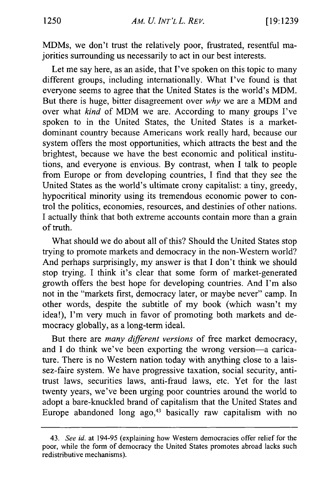MDMs, we don't trust the relatively poor, frustrated, resentful majorities surrounding us necessarily to act in our best interests.

Let me say here, as an aside, that I've spoken on this topic to many different groups, including internationally. What I've found is that everyone seems to agree that the United States is the world's MDM. But there is huge, bitter disagreement over *why* we are a MDM and over what *kind* of MDM we are. According to many groups I've spoken to in the United States, the United States is a marketdominant country because Americans work really hard, because our system offers the most opportunities, which attracts the best and the brightest, because we have the best economic and political institutions, and everyone is envious. By contrast, when I talk to people from Europe or from developing countries, I find that they see the United States as the world's ultimate crony capitalist: a tiny, greedy, hypocritical minority using its tremendous economic power to control the politics, economies, resources, and destinies of other nations. I actually think that both extreme accounts contain more than a grain of truth.

What should we do about all of this? Should the United States stop trying to promote markets and democracy in the non-Western world? And perhaps surprisingly, my answer is that I don't think we should stop trying. I think it's clear that some form of market-generated growth offers the best hope for developing countries. And I'm also not in the "markets first, democracy later, or maybe never" camp. In other words, despite the subtitle of my book (which wasn't my idea!), I'm very much in favor of promoting both markets and democracy globally, as a long-term ideal.

But there are *many different versions* of free market democracy, and I do think we've been exporting the wrong version-a caricature. There is no Western nation today with anything close to a laissez-faire system. We have progressive taxation, social security, antitrust laws, securities laws, anti-fraud laws, etc. Yet for the last twenty years, we've been urging poor countries around the world to adopt a bare-knuckled brand of capitalism that the United States and Europe abandoned long  $ago<sub>3</sub><sup>43</sup>$  basically raw capitalism with no

<sup>43.</sup> *See id.* at 194-95 (explaining how Western democracies offer relief for the poor, while the form of democracy the United States promotes abroad lacks such redistributive mechanisms).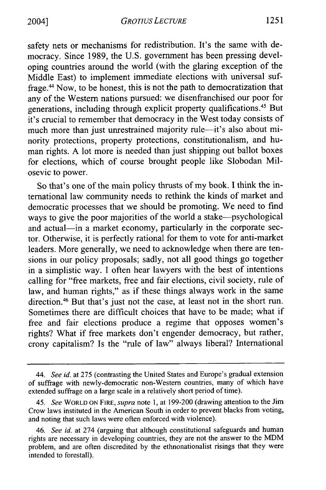safety nets or mechanisms for redistribution. It's the same with democracy. Since 1989, the U.S. government has been pressing developing countries around the world (with the glaring exception of the Middle East) to implement immediate elections with universal suffrage.<sup>44</sup> Now, to be honest, this is not the path to democratization that any of the Western nations pursued: we disenfranchised our poor for generations, including through explicit property qualifications. 45 But it's crucial to remember that democracy in the West today consists of much more than just unrestrained majority rule-it's also about minority protections, property protections, constitutionalism, and human rights. A lot more is needed than just shipping out ballot boxes for elections, which of course brought people like Slobodan Milosevic to power.

So that's one of the main policy thrusts of my book. I think the international law community needs to rethink the kinds of market and democratic processes that we should be promoting. We need to find ways to give the poor majorities of the world a stake-psychological and actual-in a market economy, particularly in the corporate sector. Otherwise, it is perfectly rational for them to vote for anti-market leaders. More generally, we need to acknowledge when there are tensions in our policy proposals; sadly, not all good things go together in a simplistic way. I often hear lawyers with the best of intentions calling for "free markets, free and fair elections, civil society, rule of law, and human rights," as if these things always work in the same direction.<sup>46</sup> But that's just not the case, at least not in the short run. Sometimes there are difficult choices that have to be made; what if free and fair elections produce a regime that opposes women's rights? What if free markets don't engender democracy, but rather, crony capitalism? Is the "rule of law" always liberal? International

*<sup>44.</sup> See id.* at 275 (contrasting the United States and Europe's gradual extension of suffrage with newly-democratic non-Western countries, many of which have extended suffrage on a large scale in a relatively short period of time).

<sup>45.</sup> *See* WORLD ON **FIRE,** *supra* note 1, at 199-200 (drawing attention to the Jim Crow laws instituted in the American South in order to prevent blacks from voting, and noting that such laws were often enforced with violence).

<sup>46.</sup> *See id.* at 274 (arguing that although constitutional safeguards and human rights are necessary in developing countries, they are not the answer to the MDM problem, and are often discredited by the ethnonationalist risings that they were intended to forestall).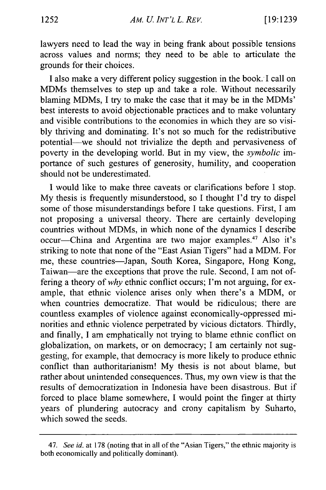lawyers need to lead the way in being frank about possible tensions across values and norms; they need to be able to articulate the grounds for their choices.

I also make a very different policy suggestion in the book. I call on MDMs themselves to step up and take a role. Without necessarily blaming MDMs, I try to make the case that it may be in the MDMs' best interests to avoid objectionable practices and to make voluntary and visible contributions to the economies in which they are so visibly thriving and dominating. It's not so much for the redistributive potential-we should not trivialize the depth and pervasiveness of poverty in the developing world. But in my view, the *symbolic* importance of such gestures of generosity, humility, and cooperation should not be underestimated.

I would like to make three caveats or clarifications before I stop. My thesis is frequently misunderstood, so I thought I'd try to dispel some of those misunderstandings before I take questions. First, I am not proposing a universal theory. There are certainly developing countries without MDMs, in which none of the dynamics I describe occur-China and Argentina are two major examples.<sup>47</sup> Also it's striking to note that none of the "East Asian Tigers" had a MDM. For me, these countries-Japan, South Korea, Singapore, Hong Kong, Taiwan-are the exceptions that prove the rule. Second, I am not offering a theory of *why* ethnic conflict occurs; I'm not arguing, for example, that ethnic violence arises only when there's a MDM, or when countries democratize. That would be ridiculous; there are countless examples of violence against economically-oppressed minorities and ethnic violence perpetrated by vicious dictators. Thirdly, and finally, I am emphatically not trying to blame ethnic conflict on globalization, on markets, or on democracy; I am certainly not suggesting, for example, that democracy is more likely to produce ethnic conflict than authoritarianism! My thesis is not about blame, but rather about unintended consequences. Thus, my own view is that the results of democratization in Indonesia have been disastrous. But if forced to place blame somewhere, I would point the finger at thirty years of plundering autocracy and crony capitalism by Suharto, which sowed the seeds.

<sup>47.</sup> *See id.* at 178 (noting that in all of the "Asian Tigers," the ethnic majority is both economically and politically dominant).